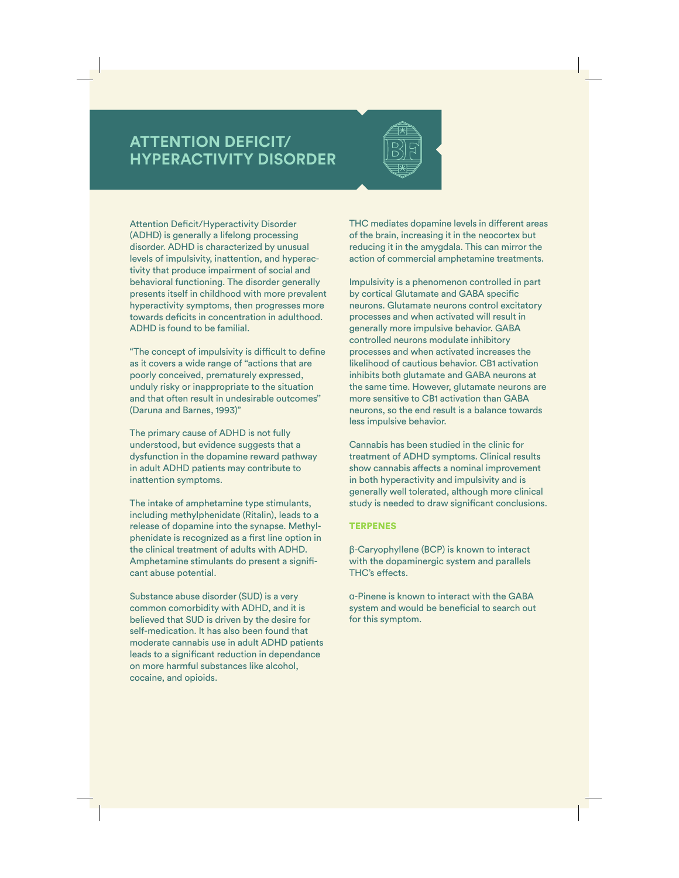## **ATTENTION DEFICIT/ HYPERACTIVITY DISORDER**



Attention Deficit/Hyperactivity Disorder (ADHD) is generally a lifelong processing disorder. ADHD is characterized by unusual levels of impulsivity, inattention, and hyperactivity that produce impairment of social and behavioral functioning. The disorder generally presents itself in childhood with more prevalent hyperactivity symptoms, then progresses more towards deficits in concentration in adulthood. ADHD is found to be familial.

"The concept of impulsivity is difficult to define as it covers a wide range of ''actions that are poorly conceived, prematurely expressed, unduly risky or inappropriate to the situation and that often result in undesirable outcomes'' (Daruna and Barnes, 1993)"

The primary cause of ADHD is not fully understood, but evidence suggests that a dysfunction in the dopamine reward pathway in adult ADHD patients may contribute to inattention symptoms.

The intake of amphetamine type stimulants, including methylphenidate (Ritalin), leads to a release of dopamine into the synapse. Methylphenidate is recognized as a first line option in the clinical treatment of adults with ADHD. Amphetamine stimulants do present a significant abuse potential.

Substance abuse disorder (SUD) is a very common comorbidity with ADHD, and it is believed that SUD is driven by the desire for self-medication. It has also been found that moderate cannabis use in adult ADHD patients leads to a significant reduction in dependance on more harmful substances like alcohol, cocaine, and opioids.

THC mediates dopamine levels in different areas of the brain, increasing it in the neocortex but reducing it in the amygdala. This can mirror the action of commercial amphetamine treatments.

Impulsivity is a phenomenon controlled in part by cortical Glutamate and GABA specific neurons. Glutamate neurons control excitatory processes and when activated will result in generally more impulsive behavior. GABA controlled neurons modulate inhibitory processes and when activated increases the likelihood of cautious behavior. CB1 activation inhibits both glutamate and GABA neurons at the same time. However, glutamate neurons are more sensitive to CB1 activation than GABA neurons, so the end result is a balance towards less impulsive behavior.

Cannabis has been studied in the clinic for treatment of ADHD symptoms. Clinical results show cannabis affects a nominal improvement in both hyperactivity and impulsivity and is generally well tolerated, although more clinical study is needed to draw significant conclusions.

## TERPENES

β-Caryophyllene (BCP) is known to interact with the dopaminergic system and parallels THC's effects.

α-Pinene is known to interact with the GABA system and would be beneficial to search out for this symptom.